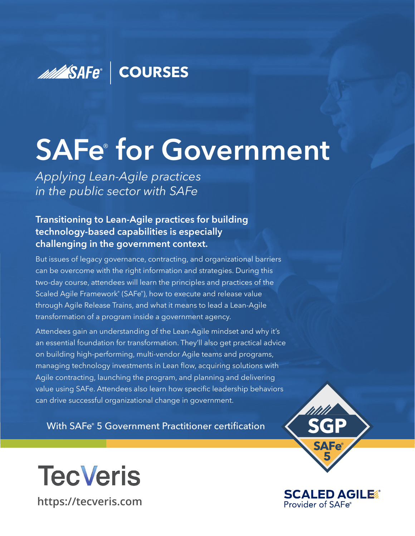### **MANA SAFe<sup>®</sup> COURSES**

# **SAFe**®  **for Government**

*Applying Lean-Agile practices in the public sector with SAFe*

#### **Transitioning to Lean-Agile practices for building technology-based capabilities is especially challenging in the government context.**

But issues of legacy governance, contracting, and organizational barriers can be overcome with the right information and strategies. During this two-day course, attendees will learn the principles and practices of the Scaled Agile Framework<sup>®</sup> (SAFe<sup>®</sup>), how to execute and release value through Agile Release Trains, and what it means to lead a Lean-Agile transformation of a program inside a government agency.

Attendees gain an understanding of the Lean-Agile mindset and why it's an essential foundation for transformation. They'll also get practical advice on building high-performing, multi-vendor Agile teams and programs, managing technology investments in Lean flow, acquiring solutions with Agile contracting, launching the program, and planning and delivering value using SAFe. Attendees also learn how specific leadership behaviors can drive successful organizational change in government.

With SAFe® 5 Government Practitioner certification





**TecVeris [https://tecveris.com](https://www.tecveris.com/)**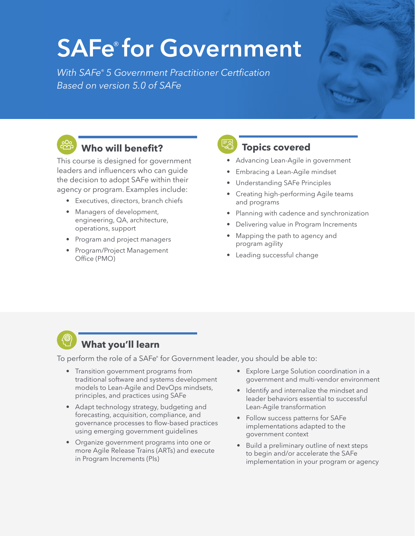### **SAFe**® **for Government**

*With SAFe®* 5 Government Practitioner Certfication *Based on version 5.0 of SAFe*



#### **Who will benefit?**

This course is designed for government leaders and influencers who can guide the decision to adopt SAFe within their agency or program. Examples include:

- Executives, directors, branch chiefs
- Managers of development, engineering, QA, architecture, operations, support
- Program and project managers
- Program/Project Management Office (PMO)

**Topics covered**

- Advancing Lean-Agile in government
- Embracing a Lean-Agile mindset
- Understanding SAFe Principles
- Creating high-performing Agile teams and programs
- Planning with cadence and synchronization
- Delivering value in Program Increments
- Mapping the path to agency and program agility
- Leading successful change



#### **What you'll learn**

To perform the role of a SAFe<sup>®</sup> for Government leader, you should be able to:

- Transition government programs from traditional software and systems development models to Lean-Agile and DevOps mindsets, principles, and practices using SAFe
- Adapt technology strategy, budgeting and forecasting, acquisition, compliance, and governance processes to flow-based practices using emerging government guidelines
- Organize government programs into one or more Agile Release Trains (ARTs) and execute in Program Increments (PIs)
- Explore Large Solution coordination in a government and multi-vendor environment
- Identify and internalize the mindset and leader behaviors essential to successful Lean-Agile transformation
- Follow success patterns for SAFe implementations adapted to the government context
- Build a preliminary outline of next steps to begin and/or accelerate the SAFe implementation in your program or agency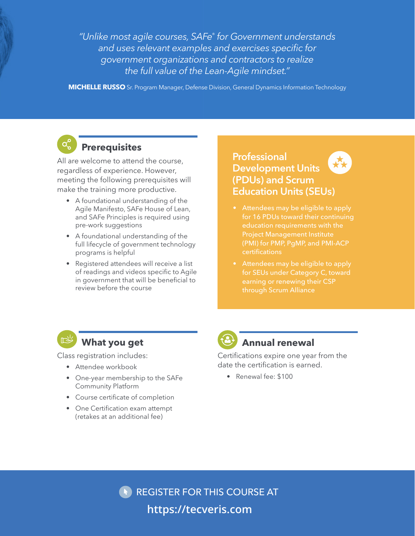*"Unlike most agile courses, SAFe® for Government understands*  and uses relevant examples and exercises specific for *government organizations and contractors to realize the full value of the Lean-Agile mindset."*

**MICHELLE RUSSO** Sr. Program Manager, Defense Division, General Dynamics Information Technology

#### **Prerequisites**

All are welcome to attend the course. regardless of experience. However, meeting the following prerequisites will make the training more productive.

- A foundational understanding of the Agile Manifesto, SAFe House of Lean, and SAFe Principles is required using pre-work suggestions
- A foundational understanding of the full lifecycle of government technology programs is helpful
- Registered attendees will receive a list of readings and videos specific to Agile in government that will be beneficial to review before the course

#### **Professional Development Units (PDUs) and Scrum Education Units (SEUs)**

- Attendees may be eligible to apply for 16 PDUs toward their continuing education requirements with the Project Management Institute (PMI) for PMP, PgMP, and PMI-ACP certifications
- Attendees may be eligible to apply for SEUs under Category C, toward



#### **What you get**

Class registration includes:

- Attendee workbook
- One-year membership to the SAFe Community Platform
- Course certificate of completion
- One Certification exam attempt (retakes at an additional fee)



#### **Annual renewal**

Certifications expire one year from the date the certification is earned.

• Renewal fee: \$100

REGISTER FOR THIS COURSE AT **[https://tecveris.com](https://www.tecveris.com/)**